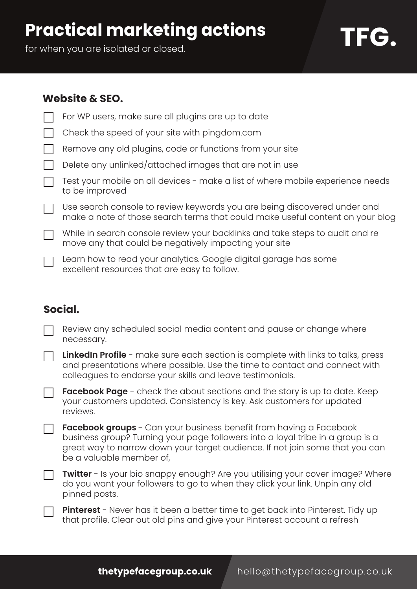# **Practical marketing actions**

for when you are isolated or closed.

# **TFG.**

#### **Website & SEO.**

| For WP users, make sure all plugins are up to date                                                                                                        |
|-----------------------------------------------------------------------------------------------------------------------------------------------------------|
| Check the speed of your site with pingdom.com                                                                                                             |
| Remove any old plugins, code or functions from your site                                                                                                  |
| Delete any unlinked/attached images that are not in use                                                                                                   |
| Test your mobile on all devices - make a list of where mobile experience needs<br>to be improved                                                          |
| Use search console to review keywords you are being discovered under and<br>make a note of those search terms that could make useful content on your blog |
| While in search console review your backlinks and take steps to audit and re<br>move any that could be negatively impacting your site                     |
| Learn how to read your analytics. Google digital garage has some<br>excellent resources that are easy to follow.                                          |

## **Social.**

| Review any scheduled social media content and pause or change where |
|---------------------------------------------------------------------|
| necessary.                                                          |

| <b>LinkedIn Profile</b> - make sure each section is complete with links to talks, press |
|-----------------------------------------------------------------------------------------|
| and presentations where possible. Use the time to contact and connect with              |
| colleagues to endorse your skills and leave testimonials.                               |

**Facebook Page** - check the about sections and the story is up to date. Keep your customers updated. Consistency is key. Ask customers for updated reviews.

**Facebook groups** - Can your business benefit from having a Facebook business group? Turning your page followers into a loyal tribe in a group is a great way to narrow down your target audience. If not join some that you can be a valuable member of,

**Twitter** - Is your bio snappy enough? Are you utilising your cover image? Where do you want your followers to go to when they click your link. Unpin any old pinned posts.

**Pinterest** - Never has it been a better time to get back into Pinterest. Tidy up that profile. Clear out old pins and give your Pinterest account a refresh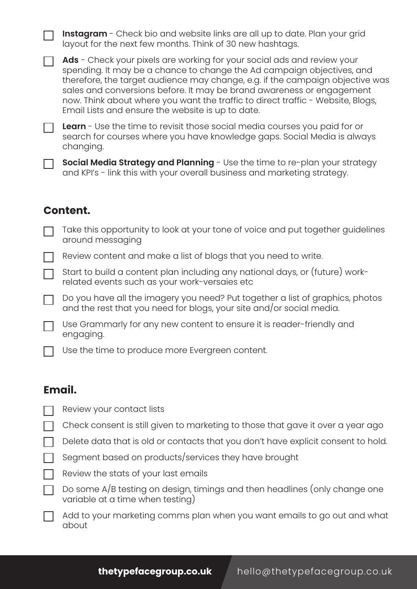**Instagram** - Check bio and website links are all up to date. Plan your grid layout for the next few months. Think of 30 new hashtags. Ads - Check your pixels are working for your social ads and review your spending. It may be a chance to change the Ad campaign objectives, and therefore, the target audience may change, e.g. if the campaign objective was sales and conversions before. It may be brand awareness or engagement now. Think about where you want the traffic to direct traffic - Website, Blogs, Email Lists and ensure the website is up to date. **Learn** - Use the time to revisit those social media courses you paid for or search for courses where you have knowledge gaps. Social Media is always changing. **Social Media Strategy and Planning** - Use the time to re-plan your strategy and KPI's - link this with your overall business and marketing strategy. Take this opportunity to look at your tone of voice and put together guidelines around messaging Review content and make a list of blogs that you need to write. Start to build a content plan including any national days, or (future) workrelated events such as your work-versaies etc Do you have all the imagery you need? Put together a list of graphics, photos and the rest that you need for blogs, your site and/or social media. Use Grammarly for any new content to ensure it is reader-friendly and engaging. **Content.**

Use the time to produce more Evergreen content.

### **Email.**

- Review your contact lists
- Check consent is still given to marketing to those that gave it over a year ago
- Delete data that is old or contacts that you don't have explicit consent to hold.
- Segment based on products/services they have brought
- Review the stats of your last emails

 $\Box$  Do some A/B testing on design, timings and then headlines (only change one variable at a time when testing)

Add to your marketing comms plan when you want emails to go out and what about